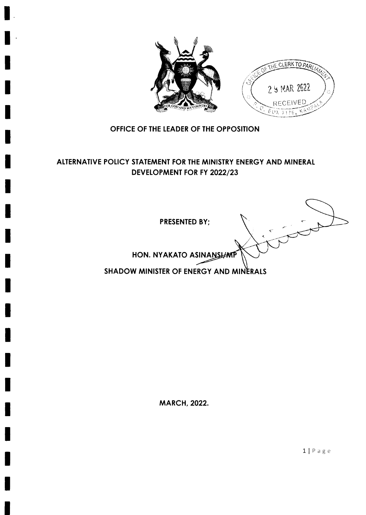



# OFFICE OF THE LEADER OF THE OPPOSITION

# ALTERNATIVE POLICY STATEMENT FOR THE MINISTRY ENERGY AND MINERAL DEVELOPMENT FOR FY 2022/23

П

I

I

PRESENTED BY;

HON. NYAKATO ASINANSLAMP

SHADOW MINISTER OF ENERGY AND MINERALS

MARCH, 2022.

llPage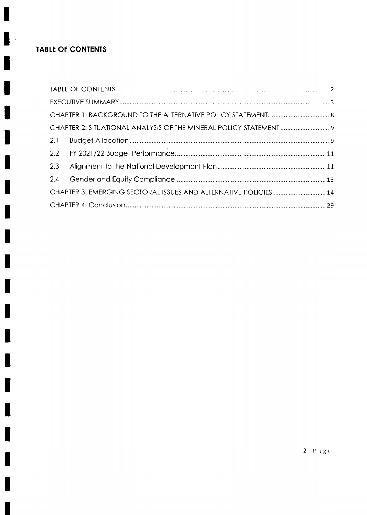# TABLE OF CONTENTS

ł

۹

H

I

 $\cdot$ 

H

I

I

I

I

H

I

 $\begin{array}{c} \hline \end{array}$ 

I

I

I

I

I

I

| 2.3 |                                                                  |  |
|-----|------------------------------------------------------------------|--|
|     |                                                                  |  |
|     | CHAPTER 3: EMERGING SECTORAL ISSUES AND ALTERNATIVE POLICIES  14 |  |
|     |                                                                  |  |

 $2 | P a g e$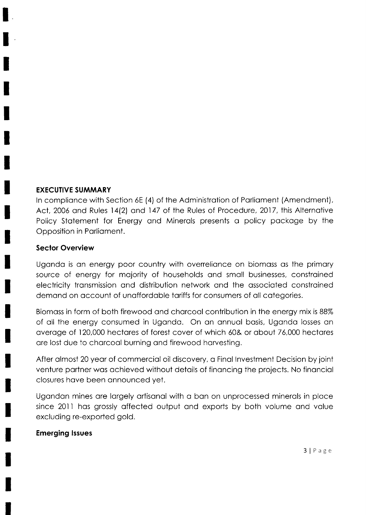#### **EXECUTIVE SUMMARY**

In compliance with Section 6E (4) of the Administration of Parliament (Amendment), Act, 2006 and Rules 14(2) and 147 of the Rules of Procedure, 2017, this Alternative Policy Statement for Energy and Minerals presents a policy package by the Opposition in Parliament.

#### **Sector Overview**

Uganda is an energy poor country with overreliance on biomass as the primary source of energy for majority of households and small businesses, constrained electricity transmission and distribution network and the associated constrained demand on account of unaffordable tariffs for consumers of all categories.

Biomass in form of both firewood and charcoal contribution in the energy mix is 88% of all the energy consumed in Uganda. On an annual basis, Uganda losses an average of 120,000 hectares of forest cover of which 60& or about 76,000 hectares are lost due to charcoal burning and firewood harvesting.

After almost 20 year of commercial oil discovery, a Final Investment Decision by joint venture partner was achieved without details of financing the projects. No financial closures have been announced yet.

Ugandan mines are largely artisanal with a ban on unprocessed minerals in place since 2011 has grossly affected output and exports by both volume and value excluding re-exported gold.

#### **Emerging Issues**

 $3|Page$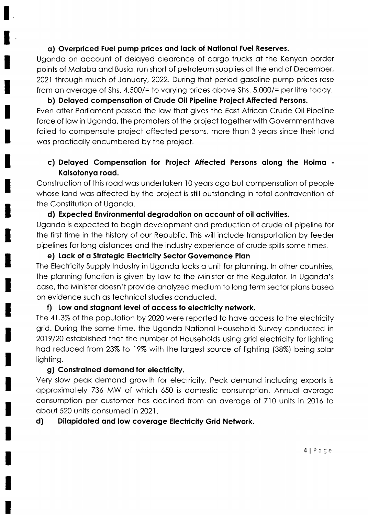### o) Overpriced Fuel pump prices ond lock of Notionol Fuel Reserves.

Ugondo on occount of deloyed cleoronce of corgo trucks of the Kenyon border points of Molobo ond Busio, run short of petroleum supplies of the end of December, 2021 through much of January, 2022. During that period gasoline pump prices rose from an average of Shs.  $4,500/$ = to varying prices above Shs.  $5,000/$ = per litre today.

b) Deloyed compensotion of Crude Oil Pipeline Project Affected Persons. Even ofter Porlioment possed the low thot gives the Eost Africon Crude Oil Pipeline force of law in Uganda, the promoters of the project together with Government have failed to compensate project affected persons, more than 3 years since their land wos procticolly encumbered by the project.

# c) Delayed Compensation for Project Affected Persons along the Hoima -Kaisotonya road.

Construction of this rood wos undertoken 10 yeors ogo but compensotion of people whose land was affected by the project is still outstanding in total contravention of the Constitution of Ugondo.

# d) Expected Environmental degradation on account of oil activities.

Ugondo is expected to begin development ond production of crude oil pipeline for the first time in the history of our Republic. This will include tronsportotion by feeder pipelines for long distonces ond the industry experience of crude spills some times.

### e) Lack of a Strategic Electricity Sector Governance Plan

The Electricity Supply Industry in Uganda lacks a unit for planning. In other countries, the planning function is given by law to the Minister or the Regulator. In Uganda's cose, the Minister doesn't provide onolyzed medium to long term sector plons bosed on evidence such os technicol studies conducted.

### f) Low and stagnant level of access to electricity network.

The 4l .3% of the populotion by 2020 were reported to hove occess to the electricity grid. During the some time, the Ugondo Notionol Household Survey conducted in 2019/20 estoblished thot the number of Households using grid electricity for lighting hod reduced from 23% to 19% with the lorgest source of lighting (38%) being solor lighting.

# g) Constroined demond for electricity.

Very slow peok demond growth for electricity. Peok demond including exports is opproximotely 736 MW of which 650 is domestic consumption. Annuol overoge consumption per customer hos declined from on overoge of 7.l0 units in 20.l6 to obout 520 units consumedin2021.

# d) Dilopidoted ond low coveroge Electricity Grid Network.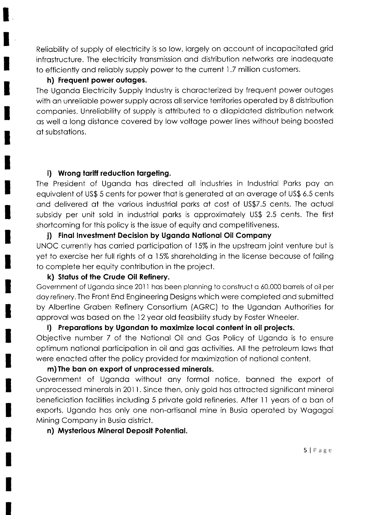Reliability of supply of electricity is so low, largely on account of incapacitated grid infrastructure. The electricity transmission and distribution networks are inadequate to efficiently and reliably supply power to the current 1.7 million customers.

#### h) Frequent power outages.

The Ugondo Electricity Supply lndustry is chorocterized by frequent power outoges with on unrelioble power supply ocross oll service territories operoted by 8 distribution componies. Unreliobility of supply is ottributed to o dilopidoted distribution network os well o long distonce covered by low voltoge power lines without being boosted of substotions.

# i) Wrong tariff reduction targeting.

The President of Ugondo hos directed oll industries in lndustriol Porks poy on equivolent of US\$ 5 cents for power thot is generoted of on overoge of US\$ 6.5 cents ond delivered of the vorious industriol porks of cost of US\$7.5 cents. The octuol subsidy per unit sold in industriol porks is opproximotely US\$ 2.5 cents. The first shortcoming for this policy is the issue of equity ond competitiveness.

### j) Final Investment Decision by Uganda National Oil Company

UNOC currently hos corried porticipotion of 15% in the upstreom joint venture but is yet to exercise her full rights of a 15% shareholding in the license because of failing to complete her equity contribution in the project.

### k) Status of the Crude Oil Refinery.

Government of Uganda since 2011 has been planning to construct a 60,000 barrels of oil per doy refinery. The Front End Engineering Designs which were completed ond submitted by Albertine Groben Refinery Consortium (AGRC) to the Ugondon Authorities for opprovol wos bosed on the l2yeor old feosibility study by Foster Wheeler.

# I) Preparations by Ugandan to maximize local content in oil projects.

Objective number 7 of the Notionol Oil ond Gos Policy of Ugondo is to ensure optimum notionol porticipotion in oil ond gos octivities. All the petroleum lows thot were enacted after the policy provided for maximization of national content.

### m) The bon on export of unprocessed minerols.

Government of Ugondo without ony formol notice, bonned the export of unprocessed minerols in 2011. Since then, only gold hos ottrocted significont minerol beneficiotion focilities including 5 privote gold refineries. After 11 yeors of o bon of exports, Uganda has only one non-artisanal mine in Busia operated by Wagagai Mining Compony in Busio district.

# n) Mysterious Minerol Deposil Potentio!.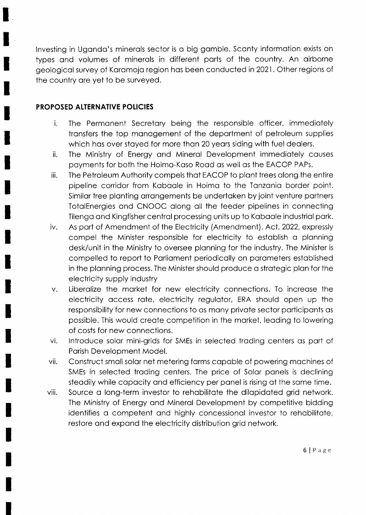lnvesting in Ugondo's minerols sector is o big gomble. Sconty informotion exists on types ond volumes of minerols in different ports of the country. An oirborne geologicol survey of Koromojo region hos been conductedin2021. Other regions of the country ore yet to be surveyed.

### PROPOSED ALTERNATIVE POLICIES

- i. The Permonent Secretory being the responsible officer, immediotely tronsfers the top monogement of the deportment of petroleum supplies which has over stayed for more than 20 years siding with fuel dealers.
- ii. The Ministry of Energy ond Minerol Development immediotely couses poyments for both the Hoimo-Koso Rood os well os the EACOP PAPs.
- iii. The Petroleum Authority compels thot EACOP to plont trees olong the entire pipeline corridor from Koboole in Hoimo to the Tonzonio border point. Similor tree plonting orrongements be undertoken by joint venture portners TotolEnergies ond CNOOC olong oll the feeder pipelines in connecting Tilengo ond Kingfisher centrol processing units up to Koboole industriol pork.
- iv. As port of Amendment of the Electricity (Amendment), Act,2022, expressly compel the Minister responsible for electricity to estoblish o plonning desk/unit in the Ministry to oversee plonning for the industry. The Minister is compelled to report to Porlioment periodlcolly on porometers estoblished in the plonning process. The Minister should produce o strotegic plon for the electricity supply industry
- v. Liberolize the morket for new electricity connections. To increose the electricity occess rote, electricity regulotor, ERA should open up the responsibility for new connections to os mony privote sector porticiponts os possible. This would create competition in the market, leading to lowering of costs for new connections.
- vi. lntroduce solor mini-grids for SMEs in selected troding centers os port of Porish Development Model.
- vii. Construct smoll solor net metering forms copoble of powering mochines of SMEs in selected troding centers. The price of Solor ponels is declining steodily while copocity ond efficiency per ponel is rising of the some time.
- viii. Source o long-term investor to rehobilitote the dilopidoted grid network. The Ministry of Energy ond Minerol Development by competitive bidding identifies a competent and highly concessional investor to rehabilitate, restore ond expond the electricity distribution grid network.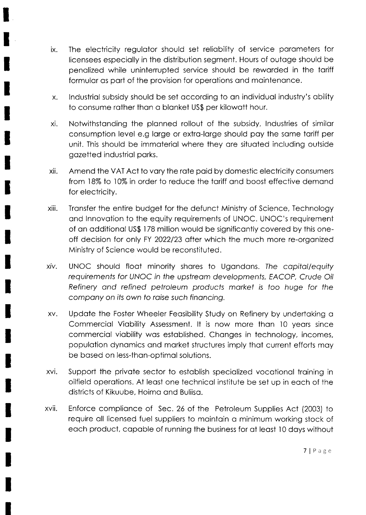- $i\mathsf{x}$ . The electricity regulotor should set reliobility of service porometers for licensees especiolly in the distribution segment. Hours of outoge should be penolized while uninterrupted service should be reworded in the toriff formular as part of the provision for operations and maintenance.
- x. lndustriol subsidy should be set occording to on individuol industry's obility to consume rother thon o blonket US\$ per kilowott hour.
- xi. Notwithstonding the plonned rollout of the subsidy, lndustries of similor consumption level e.g large or extra-large should pay the same tariff per unit. This should be immoteriol where they ore situoted including outside gozetted industriol porks.
- xii. Amend the VAT Act to vory the rote poid by domestic electricity consumers from 18% to 10% in order to reduce the tariff and boost effective demand for electricity.
- xiii. Transfer the entire budget for the defunct Ministry of Science, Technology and Innovation to the equity requirements of UNOC. UNOC's requirement of on odditionol US\$ l78 million would be significontly covered by this oneoff decision for only FY 2022/23 ofter which the much more re-orgonized Ministry of Science would be reconstituted.
- xiv, UNOC should floot minority shores to Ugondons. The copitol/equify requirements for UNOC in the upstream developments, EACOP, Crude Oil Refinery ond refined petroleum producfs morkef is too huge for the company on its own to raise such financing.
- Updote the Foster Wheeler Feosibility Study on Refinery by undertoking o Commerciol Viobility Assessment. lt is now more thon 10 yeors since commerciol viobility wos estoblished. Chonges in technology, incomes, populotion dynomics ond morket structures imply thot current efforts moy be bosed on less-thon-optimol solutions. XV.
- XVI Support the private sector to establish specialized vocational training in oilfield operotions. At leost one technicol institute be set up in eoch of the districts of Kikuube, Hoimo ond Buliiso.
- XVII Enforce complionce of Sec. 26 of the Petroleum Supplies Act (2003) to require oll licensed fuel suppliers to mointoin o minimum working stock of eoch product, copoble of running the business for of leost 10 doys without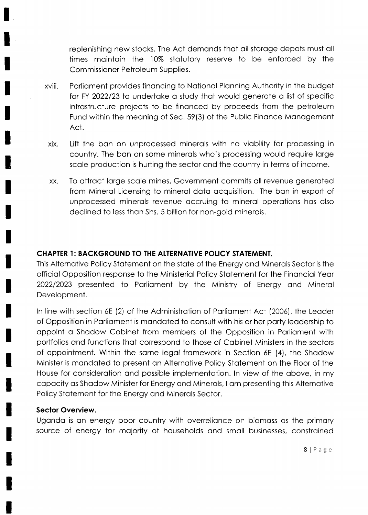replenishing new stocks. The Act demonds thot oll storoge depots must oll times mointoin the 10% stotutory reserve to be enforced by the Commissioner Petroleum Supplies.

- xviii. Porlioment provides finoncing to Notionol Plonning Authority in the budget for FY 2022/23 to undertake a study that would generate a list of specific infrostructure projects to be finonced by proceeds from the petroleum Fund within the meaning of Sec. 59(3) of the Public Finance Management Act.
- XIX. Lift the bon on unprocessed minerols with no viobility for processing in country. The bon on some minerols who's processing would require lorge scole production is hurting the sector ond the country in terms of income.
- To ottroct lorge scole mines, Government commits oll revenue generoted from Minerol Licensing to minerol doto ocquisition. The bon in export of unprocessed minerols revenue occruing to minerol operotions hos olso declined to less thon Shs. 5 billion for non-gold minerols. XX

### CHAPTER 1: BACKGROUND TO THE ALTERNATIVE POLICY STATEMENT.

This Alternotive Policy Stotement on the stote of the Energy ond Minerols Sector is the officiol Opposition response to the Ministeriol Policy Stotement for the Finonciol Yeor 2022/2023 presented to Porlioment by the Ministry of Energy ond Minerol Development.

ln line with section 6E (2) of the Administrotion of Porlioment Act (2006), the Leoder of Opposition in Porlioment is mondoted to consult with his or her porty leodership to oppoint o Shodow Cobinet from members of the Opposition in Porlioment with portfolios ond functions thot correspond to those of Cobinet Ministers in the sectors of oppointment. Within the some legol fromework in Section 6E (4), the Shodow Minister is mondoted to present on Alternotive Policy Stotement on the Floor of the House for considerotion ond possible implementotion. ln view of the obove, in my copocity os Shodow Minister for Energy ond Minerols, I om presenting this Alternotive Policy Stotement for the Energy ond Minerols Sector.

### Sector Overview.

Uganda is an energy poor country with overreliance on biomass as the primary source of energy for mojority of households ond smoll businesses, constroined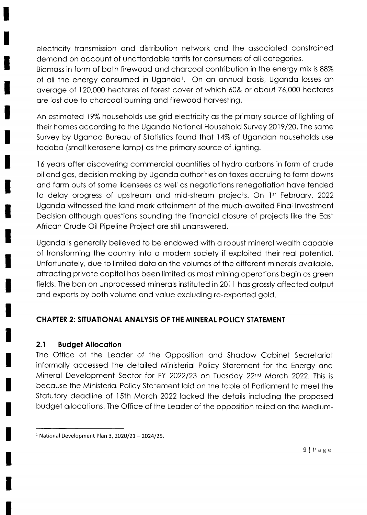electricity tronsmission ond distribution network ond the ossocioted constroined demond on occount of unoffordoble toriffs for consumers of oll cotegories.

Biomoss in form of both firewood ond chorcool contribution in the energy mix is 88% of all the energy consumed in Uganda<sup>1</sup>. On an annual basis, Uganda losses an overoge of 120,000 hectores of forest cover of which 60& or obout 76,000 hectores ore lost due to chorcool burning ond firewood horvesting.

An estimoted l9% households use grid electricity os the primory source of lighting of their homes occording to the Ugondo Notionol Household Survey 2019/20. The some Survey by Uganda Bureau of Statistics found that 14% of Ugandan households use todobo (smoll kerosene lomp) os the primory source of lighting.

16 yeors ofter discovering commerciol quontities of hydro corbons in form of crude oil ond gos, decision moking by Ugondo outhorities on toxes occruing to form downs ond form outs of some licensees os well os negotiotions renegotiotion hove tended to delay progress of upstream and mid-stream projects. On 1st February, 2022 Ugondo witnessed the lond mork ottoinment of the much-owoited Finol lnvestment Decision olthough questions sounding the finonciol closure of projects like the Eost African Crude Oil Pipeline Project are still unanswered.

Ugondo is generolly believed to be endowed with o robust minerol weolth copoble of tronsforming the country into o modern society if exploited their reol potentiol. Unfortunotely, due to limited doto on the volumes of the different minerols ovoiloble, ottrocting privote copitol hos been limited os most mining operotions begin os green fields. The ban on unprocessed minerals instituted in 2011 has grossly affected output ond exports by both volume ond volue excluding re-exported gold.

# CHAPTER 2: SITUATIONAI ANALYSIS OF THE MINERAt POIICY STATEMENT

### 2.1 Budget Allocation

The Office of the Leoder of the Opposition ond Shodow Cobinet Secretoriot informolly occessed the detoiled Ministeriol Policy Stotement for the Energy ond Mineral Development Sector for FY 2022/23 on Tuesday 22nd March 2022. This is becouse the Ministeriol Policy Stotement loid on the toble of Porlioment to meet the Stotutory deodline of l5th Morch 2022 locked the detoils including the proposed budget ollocotions. The Office of the Leoder of the opposition relied on the Medium-

 $1$  National Development Plan 3, 2020/21 - 2024/25.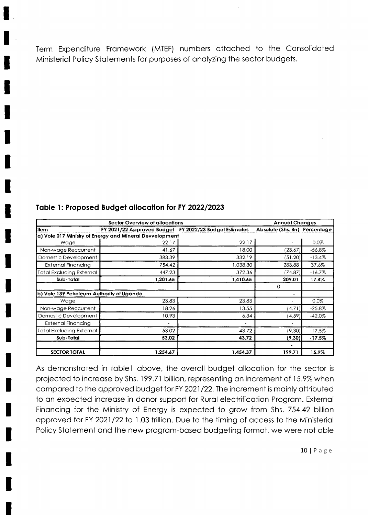Term Expenditure Framework (MTEF) numbers attached to the Consolidated Ministerial Policy Statements for purposes of analyzing the sector budgets.

| Sector Overview of allocations            |                                                         |          | <b>Annual Changes</b>         |          |
|-------------------------------------------|---------------------------------------------------------|----------|-------------------------------|----------|
| <b>Item</b>                               | FY 2021/22 Approved Budget FY 2022/23 Budget Estimates  |          | Absolute (Shs. Bn) Percentage |          |
|                                           | a) Vote 017 Ministry of Energy and Mineral Devvelopment |          |                               |          |
| Wage                                      | 22.17                                                   | 22.17    |                               | 0.0%     |
| Non-wage Reccurrent                       | 41.67                                                   | 18.00    | (23.67)                       | $-56.8%$ |
| Domestic Development                      | 383.39                                                  | 332.19   | (51.20)                       | $-13.4%$ |
| <b>External Financing</b>                 | 754.42                                                  | 1,038.30 | 283.88                        | 37.6%    |
| Total Excluding External                  | 447.23                                                  | 372.36   | (74.87)                       | $-16.7%$ |
| Sub-Total                                 | 1,201.65                                                | 1,410.65 | 209.01                        | 17.4%    |
|                                           |                                                         |          | 0                             |          |
| b) Vote 139 Petroleum Authority of Uganda |                                                         |          | $\blacksquare$                |          |
| Wage                                      | 23.83                                                   | 23.83    | $\tilde{}$                    | 0.0%     |
| Non-wage Reccurrent                       | 18.26                                                   | 13.55    | (4.71)                        | $-25.8%$ |
| Domestic Development                      | 10.93                                                   | 6.34     | (4.59)                        | $-42.0%$ |
| External Financing                        | ٠                                                       |          | $\overline{\phantom{a}}$      |          |
| Total Excluding External                  | 53.02                                                   | 43.72    | (9.30)                        | $-17.5%$ |
| Sub-Total                                 | 53.02                                                   | 43.72    | (9.30)                        | $-17.5%$ |
|                                           |                                                         |          |                               |          |
| <b>SECTOR TOTAL</b>                       | 1,254.67                                                | 1,454.37 | 199.71                        | 15.9%    |

### Table 1: Proposed Budget allocation for FY 2022/2023

As demonstrated in table1 above, the overall budget allocation for the sector is projected to increase by Shs. 199.71 billion, representing an increment of 15.9% when compared to the approved budget for FY 2021/22. The increment is mainly attributed to an expected increase in donor support for Rural electrification Program. External Financing for the Ministry of Energy is expected to grow from Shs. 754.42 billion approved for FY 2021/22 to 1.03 trillion. Due to the timing of access to the Ministerial Policy Statement and the new program-based budgeting format, we were not able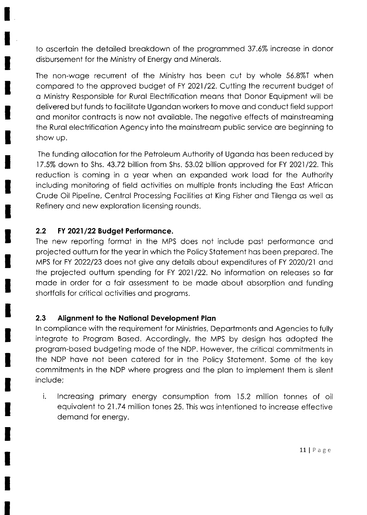to oscertoin the detoiled breokdown of the progrommed 37.6% increose in donor disbursement for the Ministry of Energy ond Minerols.

The non-woge recurrent of the Ministry hos been cut by whole 56.8%I when compared to the approved budget of FY 2021/22. Cutting the recurrent budget of o Ministry Responsible for Rurol Electrificotion meons thot Donor Equipment will be delivered but funds to focilitote Ugondon workers to move ond conduct field support ond monitor controcts is now not ovoiloble. The negotive effects of moinstreoming the Rurol electrificotion Agency into the moinstreom public service ore beginning to show up.

The funding ollocotion for the Petroleum Authority of Ugondo hos been reduced by  $17.5\%$  down to Shs. 43.72 billion from Shs. 53.02 billion approved for FY 2021/22. This reduction is coming in a year when an expanded work load for the Authority including monitoring of field octivities on multiple fronts including the Eost Africon Crude Oil Pipeline, Centrol Processing Focilities of King Fisher ond Tilengo os well os Refinery ond new explorotion licensing rounds.

# 2.2 FY 2021/22Budgel Performonce.

The new reporting formot in the MPS does not include post performonce ond projected outturn for the yeor in which the Policy Stotement hos been prepored. The MPS for FY 2022/23 does not give any details about expenditures of FY 2020/21 and the projected outturn spending for FY 2021/22. No information on releases so far made in order for a fair assessment to be made about absorption and funding shortfolls for criticol octivities ond progroms.

# 2.3 Alignment to the National Development Plan

ln complionce with the requirement for Ministries, Deportments ond Agencies to fully integrote to Progrom Bosed. Accordingly, the MPS by design hos odopted the progrom-bosed budgeting mode of the NDP. However, the criticol commitments in the NDP have not been catered for in the Policy Statement. Some of the key commitments in the NDP where progress ond the plon to implement them is silent include;

i. lncreosing primory energy consumption from 15.2 million tonnes of oil equivalent to 21.74 million tones 25. This was intentioned to increase effective demond for energy.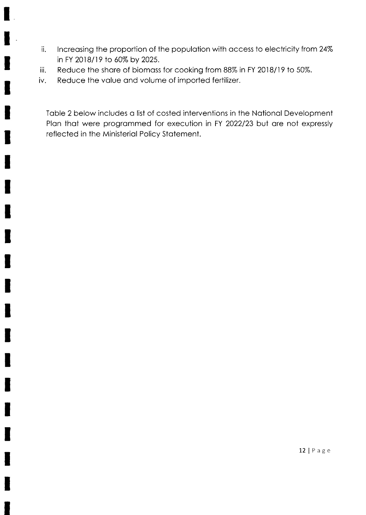- ii. Increasing the proportion of the population with access to electricity from 24% in FY 2018/19 to 60% by 2025.
- Reduce the share of biomass for cooking from 88% in FY 2018/19 to 50%. iii.
- Reduce the value and volume of imported fertilizer. iv.

Toble 2 below includes o list of costed interventions in the Notionol Development Plan that were programmed for execution in FY 2022/23 but are not expressly reflected in the Ministerial Policy Statement.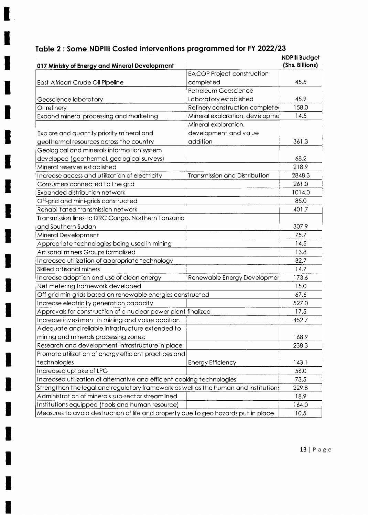# Table 2 : Some NDPIII Costed interventions programmed for FY 2022/23

ı

I

 $\blacksquare$ 

I

K

I

I

I

I

I

I

I

J

I

I

I

|                                                                                     |                                      | <b>NDPIII Budget</b><br>(Shs. Billions) |
|-------------------------------------------------------------------------------------|--------------------------------------|-----------------------------------------|
| 017 Ministry of Energy and Mineral Development                                      | <b>EACOP Project construction</b>    |                                         |
| East African Crude Oil Pipeline                                                     | completed                            | 45.5                                    |
|                                                                                     | Petroleum Geoscience                 |                                         |
|                                                                                     | Laboratory established               | 45.9                                    |
| Geoscience laboratory<br>Oil refinery                                               | Refinery construction complete       | 158.0                                   |
| Expand mineral processing and marketing                                             | Mineral exploration, developme       | 14.5                                    |
|                                                                                     | Mineral exploration,                 |                                         |
|                                                                                     | development and value                |                                         |
| Explore and quantify priority mineral and                                           |                                      |                                         |
| geothermal resources across the country                                             | addition                             | 361.3                                   |
| Geological and minerals information system                                          |                                      |                                         |
| developed (geothermal, geological surveys)                                          |                                      | 68.2                                    |
| Mineral reserves est ablished                                                       |                                      | 218.9                                   |
| Increase access and utilization of electricity                                      | <b>Transmission and Distribution</b> | 2848.3                                  |
| Consumers connected to the grid                                                     |                                      | 261.0                                   |
| Expanded distribution network                                                       |                                      | 1014.0                                  |
| Off-grid and mini-grids constructed                                                 |                                      | 85.0                                    |
| Rehabilitated transmission network                                                  |                                      | 401.7                                   |
| Transmission lines to DRC Congo, Northern Tanzania                                  |                                      |                                         |
| and Southern Sudan                                                                  |                                      | 307.9                                   |
| Mineral Development                                                                 |                                      | 75.7                                    |
| Appropriate technologies being used in mining                                       |                                      | 14.5                                    |
| Artisanal miners Groups formalized                                                  |                                      | 13.8                                    |
| Increased utilization of appropriate technology                                     |                                      | 32.7                                    |
| Skilled artisanal miners                                                            |                                      | 14.7                                    |
| Increase adoption and use of clean energy                                           | Renewable Energy Developmer          | 173.6                                   |
| Net metering framework developed                                                    |                                      | 15.0                                    |
| Off-grid min-grids based on renewable energies constructed                          |                                      | 67.6                                    |
| Increase electricity generation capacity                                            |                                      | 527.0                                   |
| Approvals for construction of a nuclear power plant finalized                       |                                      | 17.5                                    |
| Increase investment in mining and value addition                                    |                                      | 452.7                                   |
| Adequate and reliable infrastructure extended to                                    |                                      |                                         |
| mining and minerals processing zones;                                               |                                      | 168.9                                   |
| Research and development infrastructure in place                                    |                                      | 238.3                                   |
| Promote utilization of energy efficient practices and                               |                                      |                                         |
| technologies                                                                        | <b>Energy Efficiency</b>             | 143.1                                   |
| Increased uptake of LPG                                                             |                                      | 56.0                                    |
| Increased utilization of alternative and efficient cooking technologies             |                                      | 73.5                                    |
| Strengthen the legal and regulatory framework as well as the human and institution{ |                                      | 229.8                                   |
| Administration of minerals sub-sector streamlined                                   |                                      | 18.9                                    |
| Institutions equipped (tools and human resource)                                    |                                      | 164.0                                   |
| Measures to avoid destruction of life and property due to geo hazards put in place  |                                      | 10.5                                    |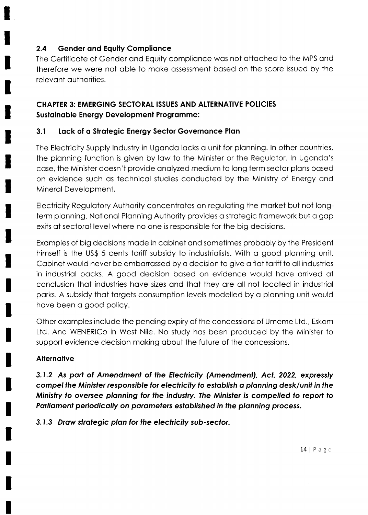#### $2.4$ **Gender and Equity Compliance**

The Certificate of Gender and Equity compliance was not attached to the MPS and therefore we were not able to make assessment based on the score issued by the relevant authorities.

# **CHAPTER 3: EMERGING SECTORAL ISSUES AND ALTERNATIVE POLICIES Sustainable Energy Development Programme:**

#### $3.1$ Lack of a Strategic Energy Sector Governance Plan

The Electricity Supply Industry in Uganda lacks a unit for planning. In other countries, the planning function is given by law to the Minister or the Regulator. In Uganda's case, the Minister doesn't provide analyzed medium to long term sector plans based on evidence such as technical studies conducted by the Ministry of Energy and Mineral Development.

Electricity Regulatory Authority concentrates on regulating the market but not longterm planning. National Planning Authority provides a strategic framework but a gap exits at sectoral level where no one is responsible for the big decisions.

Examples of big decisions made in cabinet and sometimes probably by the President himself is the US\$ 5 cents tariff subsidy to industrialists. With a good planning unit, Cabinet would never be embarrassed by a decision to give a flat tariff to all industries in industrial packs. A good decision based on evidence would have arrived at conclusion that industries have sizes and that they are all not located in industrial parks. A subsidy that targets consumption levels modelled by a planning unit would have been a good policy.

Other examples include the pending expiry of the concessions of Umeme Ltd., Eskom Ltd. And WENERICo in West Nile. No study has been produced by the Minister to support evidence decision making about the future of the concessions.

#### **Alternative**

3.1.2 As part of Amendment of the Electricity (Amendment), Act, 2022, expressly compel the Minister responsible for electricity to establish a planning desk/unit in the Ministry to oversee planning for the industry. The Minister is compelled to report to Parliament periodically on parameters established in the planning process.

3.1.3 Draw strategic plan for the electricity sub-sector.

 $14 | P a g e$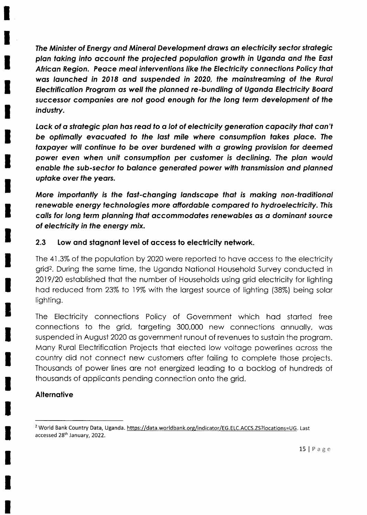The Minister of Energy and Mineral Development draws an electricity sector strategic plon toking inlo occount the projecfed populotion growlh in Ugondo ond fhe Eosf African Region. Peace meal interventions like the Electricity connections Policy that was launched in 2018 and suspended in 2020, the mainstreaming of the Rural Eleclrificotion Progrom os well the plonned re-bundling of Ugondo Eleclricity Boord successor companies are not good enough for the long term development of the industry.

Lack of a strategic plan has read to a lot of electricity generation capacity that can't be optimally evacuated to the last mile where consumption takes place. The taxpayer will continue to be over burdened with a growing provision for deemed power eyen when unif consumption per cusfomer is declining. The plon would enable the sub-sector to balance generated power with transmission and planned upfoke over fhe yeors.

More importantly is the fast-changing landscape that is making non-traditional renewable energy technologies more affordable compared to hydroelectricity. This colls for long lerm plonning thot occommodotes renewobles os o dominonf source of electricity in the energy mix.

# 2.3 Low and stagnant level of access to electricity network.

The 4l .3% of the populotion by 2020 were reported to hove occess to the electricity grid2. During the some time, the Ugondo Notionol Household Survey conducted in 2019120 estoblished thot the number of Households using grid electricity for lighting hod reduced from 23% to 19% wilh the lorgest source of lighting (38%) being solor lighting.

The Electricity connections Policy of Government which hod storted free connections to the grid, torgeting 300,000 new connections onnuolly, wos suspended in August 2O2O os government runout of revenues to sustoin the progrom. Many Rural Electrification Projects that elected low voltage powerlines across the country did not connect new customers ofter foiling to complete those projects. Thousonds of power lines ore not energized leoding to o bocklog of hundreds of thousonds of oppliconts pending connection onto the grid.

### **Alternative**

<sup>&</sup>lt;sup>2</sup> World Bank Country Data, Uganda. https://data.worldbank.org/indicator/EG.ELC.ACCS.ZS?locations=UG. Last accessed 28th January, 2022.